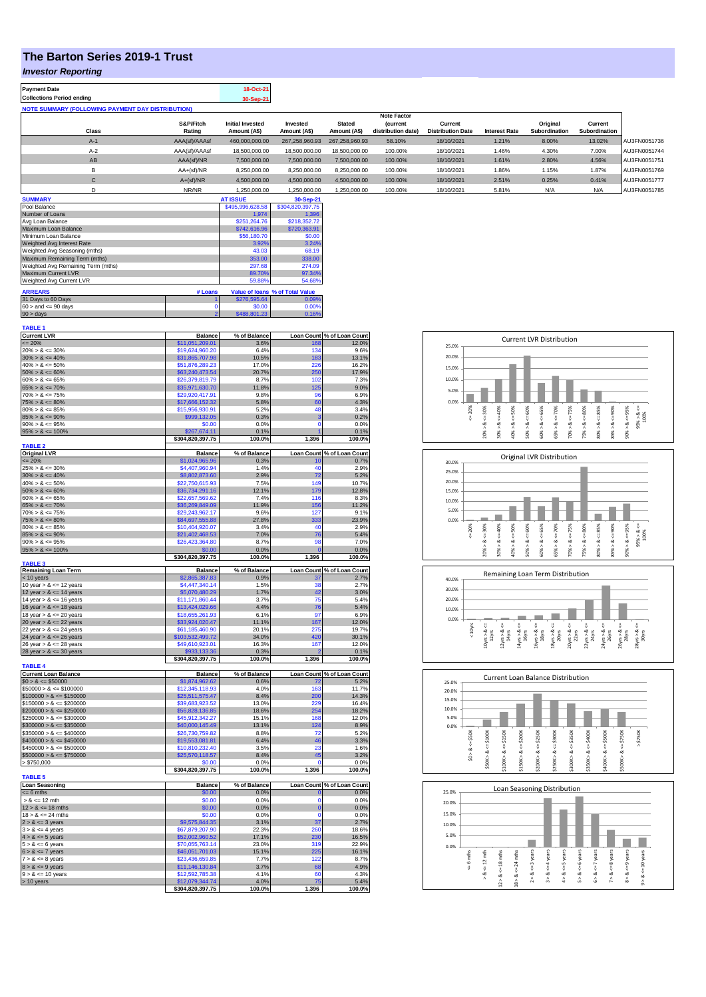## **The Barton Series 2019-1 Trust**

## *Investor Reporting*

| <b>Payment Date</b>                                      | 18-Oct-21 |
|----------------------------------------------------------|-----------|
| <b>Collections Period ending</b>                         | 30-Sep-21 |
| <b>NOTE SUMMARY (FOLLOWING PAYMENT DAY DISTRIBUTION)</b> |           |

|                  |               |                         |                |                | <b>Note Factor</b> |                          |                      |               |               |              |
|------------------|---------------|-------------------------|----------------|----------------|--------------------|--------------------------|----------------------|---------------|---------------|--------------|
|                  | S&P/Fitch     | <b>Initial Invested</b> | Invested       | <b>Stated</b>  | <b>Current</b>     | Current                  |                      | Original      | Current       |              |
| <b>Class</b>     | Rating        | Amount (A\$)            | Amount (A\$)   | Amount (A\$)   | distribution date) | <b>Distribution Date</b> | <b>Interest Rate</b> | Subordination | Subordination |              |
| $A-1$            | AAA(sf)/AAAsf | 460.000.000.00          | 267.258.960.93 | 267.258.960.93 | 58.10%             | 18/10/2021               | 1.21%                | 8.00%         | 13.02%        | AU3FN0051736 |
| $A-2$            | AAA(sf)/AAAsf | 18,500,000,00           | 18,500,000,00  | 18,500,000.00  | 100.00%            | 18/10/2021               | 1.46%                | 4.30%         | 7.00%         | AU3FN0051744 |
| AB               | AAA(sf)/NR    | 7.500.000.00            | 7.500.000.00   | 7.500.000.00   | 100.00%            | 18/10/2021               | 1.61%                | 2.80%         | 4.56%         | AU3FN0051751 |
| в                | AA+(sf)/NR    | 8.250.000.00            | 8.250.000.00   | 8.250.000.00   | 100.00%            | 18/10/2021               | 1.86%                | 1.15%         | 1.87%         | AU3FN0051769 |
| $\sim$<br>$\sim$ | $A+(sf)/NR$   | 4.500.000.00            | 4.500.000.00   | 4.500.000.00   | 100.00%            | 18/10/2021               | 2.51%                | 0.25%         | 0.41%         | AU3FN0051777 |
|                  | NR/NR         | 1.250.000.00            | 1.250.000.00   | 1.250.000.00   | 100.00%            | 18/10/2021               | 5.81%                | N/A           | N/A           | AU3FN0051785 |
|                  |               |                         |                |                |                    |                          |                      |               |               |              |

| <b>SUMMARY</b>                     |         | <b>AT ISSUE</b>  | 30-Sep-21                       |
|------------------------------------|---------|------------------|---------------------------------|
| Pool Balance                       |         | \$495,996,628.58 | \$304,820,397.75                |
| Number of Loans                    |         | 1.974            | 1.396                           |
| Avg Loan Balance                   |         | \$251.264.76     | \$218,352.72                    |
| Maximum Loan Balance               |         | \$742,616.96     | \$720,363.91                    |
| Minimum Loan Balance               |         | \$56,180.70      | \$0.00                          |
| Weighted Avg Interest Rate         |         | 3.92%            | 3.24%                           |
| Weighted Avg Seasoning (mths)      |         | 43.03            | 68.19                           |
| Maximum Remaining Term (mths)      |         | 353.00           | 338.00                          |
| Weighted Avg Remaining Term (mths) |         | 297.68           | 274.09                          |
| Maximum Current LVR                |         | 89.70%           | 97.34%                          |
| Weighted Avg Current LVR           |         | 59.88%           | 54.68%                          |
| <b>ARREARS</b>                     | # Loans |                  | Value of Ioans % of Total Value |
| 31 Days to 60 Days                 |         | \$276,595.64     | 0.09%                           |
| $60 >$ and $\leq 90$ days          |         | \$0.00           | 0.00%                           |
| $90 > \text{days}$                 | 2       | \$488,801.23     | 0.16%                           |

| <b>TABLE 1</b>                               |                                    |                |                            |                            |
|----------------------------------------------|------------------------------------|----------------|----------------------------|----------------------------|
| <b>Current LVR</b>                           | <b>Balance</b>                     | % of Balance   |                            | Loan Count % of Loan Count |
| $= 20%$                                      | \$11,051,209.01                    | 3.6%           | 168                        | 12.0%                      |
| $20\% > 8 \le 30\%$                          | \$19,624,960.20                    | 6.4%           | 134                        | 9.6%                       |
| $30\% > 8 \le 40\%$                          | \$31,865,707.98                    | 10.5%          | 183                        | 13.1%                      |
| $40\% > 8 \le 50\%$<br>$50\% > 8 \le 60\%$   | \$51,876,289.23                    | 17.0%<br>20.7% | 226<br>250                 | 16.2%<br>17.9%             |
| $60\% > 8 \le 65\%$                          | \$63,240,473.54<br>\$26,379,819.79 | 8.7%           | 102                        | 7.3%                       |
| $65\% > 8 \le 70\%$                          | \$35,971,630.70                    | 11.8%          | 125                        | 9.0%                       |
| $70\% > 8 \le 75\%$                          | \$29,920,417.91                    | 9.8%           | 96                         | 6.9%                       |
| $75\% > 8 \le 80\%$                          | \$17,666,152.32                    | 5.8%           | 60                         | 4.3%                       |
| $80\% > 8 \le 85\%$                          | \$15,956,930.91                    | 5.2%           | 48                         | 3.4%                       |
| $85\% > 8 \le 90\%$                          | \$999,132.05                       | 0.3%           | 3                          | 0.2%                       |
| $90\% > 8 \le 95\%$                          | \$0.00                             | 0.0%           | $\Omega$                   | 0.0%                       |
| $95\% > 8 \le 100\%$                         | \$267,674.11                       | 0.1%           |                            | 0.1%                       |
|                                              | \$304,820,397.75                   | 100.0%         | 1,396                      | 100.0%                     |
| <b>TABLE 2</b>                               |                                    |                |                            |                            |
| <b>Original LVR</b>                          | <b>Balance</b>                     | % of Balance   |                            | Loan Count % of Loan Count |
| $= 20%$                                      | \$1,024,965.96                     | 0.3%           | 10                         | 0.7%                       |
| $25\% > 8 \le 30\%$                          | \$4,407,960.94                     | 1.4%           | 40                         | 2.9%                       |
| $30\% > 8 \le 40\%$                          | \$8,802,873.60                     | 2.9%           | 72                         | 5.2%                       |
| $40\% > 8 \le 50\%$                          | \$22,750,615.93                    | 7.5%           | 149                        | 10.7%                      |
| $50\% > 8 \le 60\%$                          | \$36,734,291.16                    | 12.1%          | 179<br>116                 | 12.8%                      |
| $60\% > 8 \le 65\%$                          | \$22,657,569.62                    | 7.4%           |                            | 8.3%                       |
| $65\% > 8 \le 70\%$<br>$70\% > 8 \le 75\%$   | \$36,269,849.09<br>\$29.243.962.17 | 11.9%<br>9.6%  | 156<br>127                 | 11.2%<br>9.1%              |
| $75\% > 8 \le 80\%$                          | \$84,697,555.88                    | 27.8%          | 333                        | 23.9%                      |
| $80\% > 8 \le 85\%$                          | \$10,404,920.07                    | 3.4%           | 40                         | 2.9%                       |
| $85\% > 8 \le 90\%$                          | \$21,402,468.53                    | 7.0%           | 76                         | 5.4%                       |
| $90\% > 8 \le 95\%$                          | \$26,423,364.80                    | 8.7%           | 98                         | 7.0%                       |
| $95\% > 8 \le 100\%$                         | \$0.00                             | 0.0%           | $\Omega$                   | 0.0%                       |
|                                              | \$304,820,397.75                   | 100.0%         | 1,396                      | 100.0%                     |
| <b>TABLE 3</b>                               |                                    |                |                            |                            |
| <b>Remaining Loan Term</b>                   | <b>Balance</b>                     | % of Balance   |                            | Loan Count % of Loan Count |
| $<$ 10 years                                 | \$2,865,387.83                     | 0.9%           |                            | 2.7%                       |
| 10 year $> 8 \le 12$ years                   | \$4,447,340.14                     | 1.5%           | 38                         | 2.7%                       |
| 12 year $> 8 \le 14$ years                   | \$5,070,480.29                     | 1.7%           | 42                         | 3.0%                       |
| 14 year $> 8 \le 16$ years                   | \$11,171,860.44                    | 3.7%           | 75                         | 5.4%                       |
| 16 year $> 8 \le 18$ years                   | \$13,424,029.66                    | 4.4%           | 76                         | 5.4%                       |
| 18 year $> 8 \le 20$ years                   | \$18,655,261.93                    | 6.1%           | 97                         | 6.9%                       |
| 20 year $> 8 \le 22$ years                   | \$33,924,020.47                    | 11.1%          | 167                        | 12.0%                      |
| 22 year $> 8 \le 24$ years                   | \$61,185,460.90                    | 20.1%          | 275                        | 19.7%                      |
| 24 year $> 8 \le 26$ years                   | \$103,532,499.72                   | 34.0%          | 420                        | 30.1%                      |
| 26 year $> 8 \le 28$ years                   | \$49,610,923.01                    | 16.3%          | 167<br>s                   | 12.0%                      |
| 28 year $> 8 \le 30$ years                   | \$933,133.36<br>\$304,820,397.75   | 0.3%<br>100.0% | 1,396                      | 0.1%<br>100.0%             |
| <b>TABLE 4</b>                               |                                    |                |                            |                            |
| <b>Current Loan Balance</b>                  | <b>Balance</b>                     | % of Balance   |                            | Loan Count % of Loan Count |
| $$0 > 8 \le $50000$                          | \$1,874,962.62                     | 0.6%           | 72                         | 5.2%                       |
| $$50000 > 8 \le $100000$                     | \$12,345,118.93                    | 4.0%           | 163                        | 11.7%                      |
| $$100000 > 8 \le $150000$                    | \$25,511,575.47                    | 8.4%           | 200                        | 14.3%                      |
| $$150000 > 8 \le $200000$                    | \$39,683,923.52                    | 13.0%          | 229                        | 16.4%                      |
| $$200000 > 8 \leq $250000$                   | \$56,828,136.85                    | 18.6%          | 254                        | 18.2%                      |
| $$250000 > 8 \le $300000$                    | \$45,912,342.27                    | 15.1%          | 168                        | 12.0%                      |
| $$300000 > 8 \leq $350000$                   | \$40,000,145.49                    | 13.1%          | 124                        | 8.9%                       |
| $$350000 > 8 \le $400000$                    | \$26,730,759.82                    | 8.8%           | 72                         | 5.2%                       |
| $$400000 > 8 \le $450000$                    | \$19,553,081.81                    | 6.4%           | 46                         | 3.3%                       |
| $$450000 > 8 \le $500000$                    | \$10,810,232.40                    | 3.5%           | 23                         | 1.6%                       |
| $$500000 > 8 \le $750000$                    | \$25,570,118.57                    | 8.4%           | 45                         | 3.2%                       |
| > \$750,000                                  | \$0.00                             | 0.0%           |                            | 0.0%                       |
|                                              | \$304,820,397.75                   | 100.0%         | 1,396                      | 100.0%                     |
| <b>TABLE 5</b>                               |                                    |                |                            |                            |
| <b>Loan Seasoning</b>                        | <b>Balance</b>                     | % of Balance   |                            | Loan Count % of Loan Count |
| $= 6$ mths                                   | \$0.00                             | 0.0%           | $\overline{0}$<br>$\Omega$ | 0.0%                       |
| $> 8 \le 12$ mth                             | \$0.00                             | 0.0%           |                            | 0.0%                       |
| $12 > 8 \le 18$ mths<br>$18 > 8 \le 24$ mths | \$0.00<br>\$0.00                   | 0.0%<br>0.0%   | $\mathbf 0$<br>$\Omega$    | 0.0%<br>0.0%               |
|                                              | \$9,575,844.35                     | 3.1%           | 37                         | 2.7%                       |
| $2 > 8 \le 3$ years<br>$3 > 8 \le 4$ years   | \$67,879,207.90                    | 22.3%          | 260                        | 18.6%                      |
| $4 > 8 \le 5$ years                          | \$52,002,960.52                    | 17.1%          | 230                        | 16.5%                      |
| $5 > 8 \le 6$ years                          | \$70,055,763.14                    | 23.0%          | 319                        | 22.9%                      |
| $6 > 8 \le 7$ years                          | \$46,051,701.03                    | 15.1%          | 225                        | 16.1%                      |
| $7 > 8 \le 8$ years                          | \$23,436,659.85                    | 7.7%           | 122                        | 8.7%                       |
| $8 > 8 \le 9$ years                          | \$11,146,130.84                    | 3.7%           | 68                         | 4.9%                       |
| $9 > 8 \le 10$ years                         | \$12,592,785.38                    | 4.1%           | 60                         | 4.3%                       |
| > 10 years                                   | \$12,079,344.74                    | 4.0%           | 75                         | 5.4%                       |
|                                              | \$304,820,397.75                   | 100.0%         | 1,396                      | 100.0%                     |
|                                              |                                    |                |                            |                            |





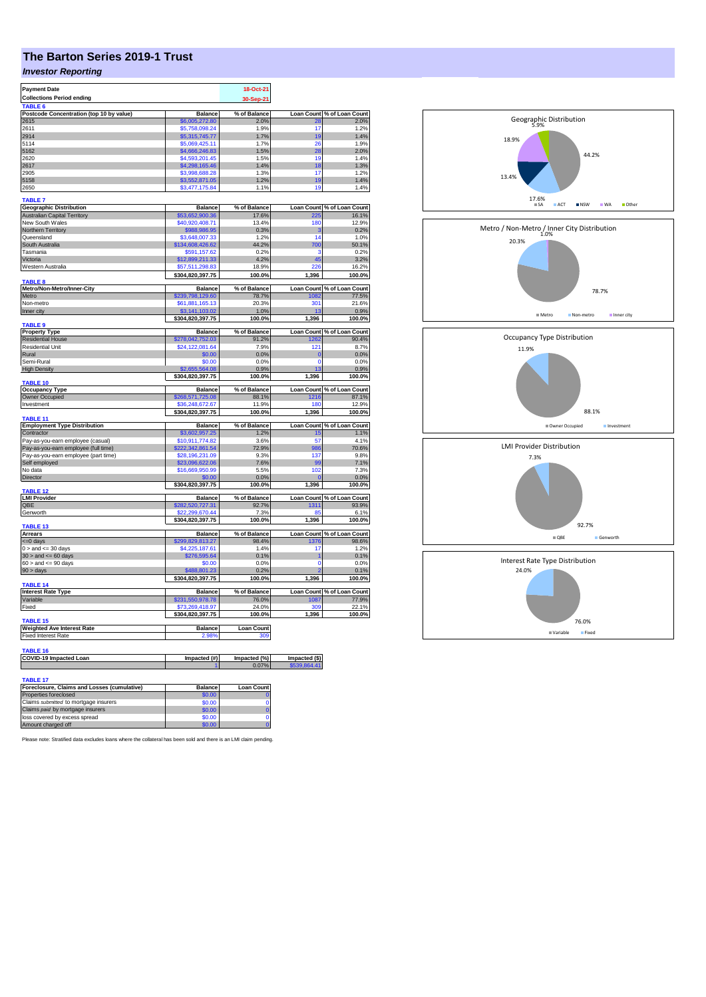## **The Barton Series 2019-1 Trust**

## *Investor Reporting*

| <b>Payment Date</b>                                     |                                     | 18-Oct-21         |                     |                                                                                                                                                                         |
|---------------------------------------------------------|-------------------------------------|-------------------|---------------------|-------------------------------------------------------------------------------------------------------------------------------------------------------------------------|
| <b>Collections Period ending</b>                        |                                     | 30-Sep-21         |                     |                                                                                                                                                                         |
| TABLE 6                                                 |                                     |                   |                     |                                                                                                                                                                         |
| Postcode Concentration (top 10 by value)                | <b>Balance</b>                      | % of Balance      | Loan Count          | % of Loan Count                                                                                                                                                         |
| 2615                                                    | \$6,005,272.80                      | 2.0%              | 28                  | 2.0%                                                                                                                                                                    |
| 2611                                                    | \$5,758,098.24                      | 1.9%              | 17                  | 1.2%                                                                                                                                                                    |
| 2914                                                    | \$5,315,745.77                      | 1.7%              | 19                  | 1.4%                                                                                                                                                                    |
| 5114                                                    | \$5.069.425.11                      | 1.7%              | 26                  | 1.9%                                                                                                                                                                    |
| 5162                                                    | \$4,666,246.83                      | 1.5%              | 28                  | 2.0%                                                                                                                                                                    |
| 2620                                                    | \$4,593,201.45                      | 1.5%              | 19                  | 1.4%                                                                                                                                                                    |
| 2617<br>2905                                            | \$4,298,165.46<br>\$3,998,688.28    | 1.4%<br>1.3%      | 18<br>17            | 1.3%<br>1.2%                                                                                                                                                            |
| 5158                                                    | \$3,552,871.05                      | 1.2%              | 19                  | 1.4%                                                                                                                                                                    |
| 2650                                                    | \$3,477,175.84                      | 1.1%              | 19                  | 1.4%                                                                                                                                                                    |
|                                                         |                                     |                   |                     |                                                                                                                                                                         |
| <b>TABLE 7</b>                                          |                                     |                   |                     |                                                                                                                                                                         |
| <b>Geographic Distribution</b>                          | <b>Balance</b>                      | % of Balance      |                     | Loan Count % of Loan Count                                                                                                                                              |
| Australian Capital Territory                            | \$53,652,900.36                     | 17.6%             | 225                 | 16.1%                                                                                                                                                                   |
| New South Wales                                         | \$40,920,408.71                     | 13.4%             | 180                 | 12.9%                                                                                                                                                                   |
| Northern Territory                                      | \$988,986.95                        | 0.3%              | 3                   | 0.2%                                                                                                                                                                    |
| Queensland                                              | \$3,648,007.33                      | 1.2%              | 14                  | 1.0%                                                                                                                                                                    |
| South Australia                                         | \$134,608,426.62                    | 44.2%             | 700                 | 50.1%                                                                                                                                                                   |
| Tasmania                                                | \$591,157.62                        | 0.2%              | ٠                   | 0.2%                                                                                                                                                                    |
| Victoria                                                | \$12,899,211.33                     | 4.2%              | 45                  | 3.2%                                                                                                                                                                    |
| Western Australia                                       | \$57,511,298.83                     | 18.9%             | 226                 | 16.2%                                                                                                                                                                   |
|                                                         | \$304,820,397.75                    | 100.0%            | 1,396               | 100.0%                                                                                                                                                                  |
| TABLE 8                                                 |                                     |                   |                     |                                                                                                                                                                         |
| Metro/Non-Metro/Inner-City                              | <b>Balance</b>                      | % of Balance      |                     | Loan Count % of Loan Count                                                                                                                                              |
| Metro                                                   | \$239,798,129.60                    | 78.7%             | 1082<br>301         | 77.5%<br>21.6%                                                                                                                                                          |
| Non-metro<br>Inner city                                 | \$61,881,165.13<br>\$3.141.103.02   | 20.3%<br>1.0%     | 13                  | 0.9%                                                                                                                                                                    |
|                                                         |                                     | 100.0%            | 1,396               | 100.0%                                                                                                                                                                  |
| <b>TABLE 9</b>                                          | \$304,820,397.75                    |                   |                     |                                                                                                                                                                         |
| <b>Property Type</b>                                    | <b>Balance</b>                      | % of Balance      |                     | Loan Count % of Loan Count                                                                                                                                              |
| <b>Residential House</b>                                | \$278,042,752.03                    | 91.2%             | 1262                | 90.4%                                                                                                                                                                   |
| <b>Residential Unit</b>                                 | \$24,122,081.64                     | 7.9%              | 121                 | 8.7%                                                                                                                                                                    |
| Rural                                                   | \$0.00                              | 0.0%              | $\overline{0}$      | 0.0%                                                                                                                                                                    |
| Semi-Rural                                              | \$0.00                              | 0.0%              | $\mathbf 0$         | 0.0%                                                                                                                                                                    |
| <b>High Density</b>                                     | 564.08                              | 0.9%              | 13                  | 0.9%                                                                                                                                                                    |
|                                                         | \$304,820,397.75                    | 100.0%            | 1,396               | 100.0%                                                                                                                                                                  |
| TABLE 10                                                |                                     |                   |                     |                                                                                                                                                                         |
| <b>Occupancy Type</b>                                   | Balance                             | % of Balance      | Loan Count          | % of Loan Count                                                                                                                                                         |
|                                                         |                                     |                   |                     |                                                                                                                                                                         |
| Owner Occupied                                          | \$268,571,725.08                    | 88.1%             | 1216                |                                                                                                                                                                         |
| Investment                                              | \$36,248,672.67                     | 11.9%             | 180                 |                                                                                                                                                                         |
|                                                         | \$304,820,397.75                    | 100.0%            | 1,396               |                                                                                                                                                                         |
| <b>TABLE 11</b>                                         |                                     |                   |                     |                                                                                                                                                                         |
| <b>Employment Type Distribution</b><br>Contractor       | <b>Balance</b><br>\$3,602,957.25    | % of Balance      | <b>Loan Count</b>   |                                                                                                                                                                         |
|                                                         |                                     | 1.2%              | 15<br>57            |                                                                                                                                                                         |
| Pay-as-you-earn employee (casual)                       | \$10,911,774.82                     | 3.6%              |                     |                                                                                                                                                                         |
| Pay-as-you-earn employee (full time)                    | 222,342,861.54                      | 72.9%             | 986                 |                                                                                                                                                                         |
| Pay-as-you-earn employee (part time)                    | \$28,196,231.09                     | 9.3%              | 137<br>99           |                                                                                                                                                                         |
| Self employed                                           | \$23,096,622.06                     | 7.6%              |                     |                                                                                                                                                                         |
| No data                                                 | \$16,669,950.99                     | 5.5%              | 102<br>$\mathbf{0}$ |                                                                                                                                                                         |
| Director                                                | \$0.00                              | 0.0%              |                     |                                                                                                                                                                         |
| TABLE 12                                                | \$304,820,397.75                    | 100.0%            | 1,396               |                                                                                                                                                                         |
| <b>LMI Provider</b>                                     | <b>Balance</b>                      | % of Balance      |                     |                                                                                                                                                                         |
| OBE                                                     | \$282,520,727.31                    | 92.7%             | 1311                |                                                                                                                                                                         |
| Genworth                                                | ,299,670.44                         | 7.3%              | RF                  |                                                                                                                                                                         |
|                                                         | \$304,820,397.75                    | 100.0%            | 1,396               |                                                                                                                                                                         |
| TABLE 13                                                |                                     |                   |                     | 87.1%<br>12.9%<br>100.0%<br>% of Loan Count<br>1.1%<br>4.1%<br>70.6%<br>9.8%<br>7.1%<br>7.3%<br>0.0%<br>100.0%<br>Loan Count % of Loan Count<br>93.9%<br>6.1%<br>100.0% |
| <b>Arrears</b>                                          | <b>Balance</b>                      | % of Balance      | <b>Loan Count</b>   |                                                                                                                                                                         |
| <= 0 days                                               | \$299,829,813.27                    | 98.4%             | 1376                |                                                                                                                                                                         |
| $0 >$ and $\leq 30$ days                                | \$4,225,187.61                      | 1.4%              | 17                  |                                                                                                                                                                         |
| $30 >$ and $\leq 60$ days                               | \$276,595.64                        | 0.1%              | 1                   |                                                                                                                                                                         |
| $60 >$ and $\leq 90$ days                               | \$0.00                              | 0.0%              | $\overline{0}$      |                                                                                                                                                                         |
| 90 > days                                               | \$488,801.23                        | 0.2%              |                     |                                                                                                                                                                         |
|                                                         | \$304,820,397.75                    | 100.0%            | 1,396               |                                                                                                                                                                         |
| <b>TABLE 14</b>                                         |                                     |                   |                     |                                                                                                                                                                         |
| <b>Interest Rate Type</b>                               | <b>Balance</b>                      | % of Balance      |                     |                                                                                                                                                                         |
| Variable<br>Fixed                                       | \$231,550,978.78<br>\$73,269,418.97 | 76.0%             | 1087<br>309         |                                                                                                                                                                         |
|                                                         | \$304,820,397.75                    | 24.0%<br>100.0%   | 1,396               |                                                                                                                                                                         |
| <b>TABLE 15</b>                                         |                                     |                   |                     |                                                                                                                                                                         |
| Weighted Ave Interest Rate                              | Balance                             | <b>Loan Count</b> |                     |                                                                                                                                                                         |
| <b>Fixed Interest Rate</b>                              | 2.98%                               | 309               |                     |                                                                                                                                                                         |
|                                                         |                                     |                   |                     |                                                                                                                                                                         |
| <b>TABLE 16</b>                                         |                                     |                   |                     |                                                                                                                                                                         |
| <b>COVID-19 Impacted Loan</b>                           | Impacted (#)                        | Impacted (%)      | Impacted (\$)       |                                                                                                                                                                         |
|                                                         |                                     | 0.07%             | \$539,864.41        | % of Loan Count<br>98.6%<br>1.2%<br>0.1%<br>0.0%<br>0.1%<br>100.0%<br>Loan Count % of Loan Count<br>77.9%<br>22.1%<br>100.0%                                            |
|                                                         |                                     |                   |                     |                                                                                                                                                                         |
| TABLE 17<br>Foreclosure, Claims and Losses (cumulative) | Balance                             | <b>Loan Count</b> |                     |                                                                                                                                                                         |

| Foreclosure, Claims and Losses (cumulative) | <b>Balance</b> | <b>Loan Count</b> |
|---------------------------------------------|----------------|-------------------|
| Properties foreclosed                       | \$0.00         |                   |
| Claims submitted to mortgage insurers       | \$0.00         |                   |
| Claims paid by mortgage insurers            | \$0.00         |                   |
| loss covered by excess spread               | \$0.00         |                   |
| Amount charged off                          | \$0.00         |                   |

Please note: Stratified data excludes loans where the collateral has been sold and there is an LMI claim pending.